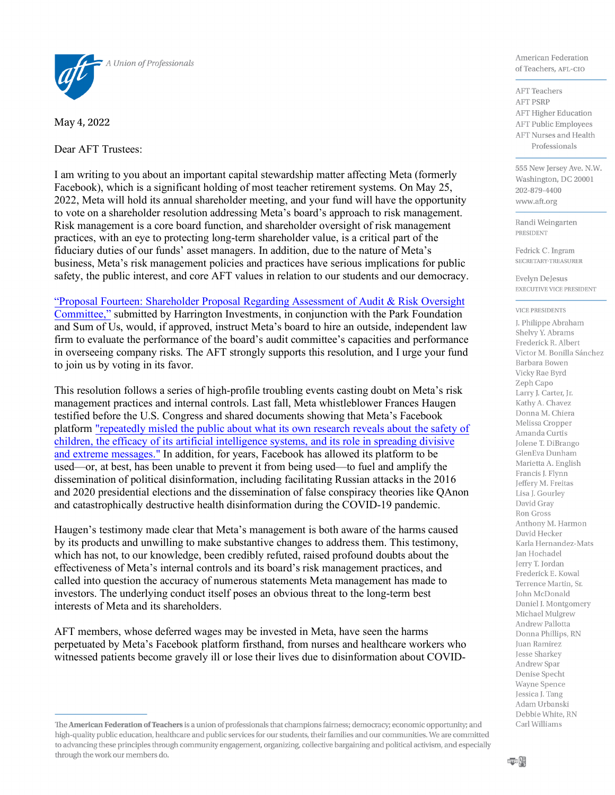

May 4, 2022

Dear AFT Trustees:

I am writing to you about an important capital stewardship matter affecting Meta (formerly Facebook), which is a significant holding of most teacher retirement systems. On May 25, 2022, Meta will hold its annual shareholder meeting, and your fund will have the opportunity to vote on a shareholder resolution addressing Meta's board's approach to risk management. Risk management is a core board function, and shareholder oversight of risk management practices, with an eye to protecting long-term shareholder value, is a critical part of the fiduciary duties of our funds' asset managers. In addition, due to the nature of Meta's business, Meta's risk management policies and practices have serious implications for public safety, the public interest, and core AFT values in relation to our students and our democracy.

"Proposal Fourteen: Shareholder Proposal Regarding Assessment of Audit & Risk Oversight Committee," submitted by Harrington Investments, in conjunction with the Park Foundation and Sum of Us, would, if approved, instruct Meta's board to hire an outside, independent law firm to evaluate the performance of the board's audit committee's capacities and performance in overseeing company risks. The AFT strongly supports this resolution, and I urge your fund to join us by voting in its favor.

This resolution follows a series of high-profile troubling events casting doubt on Meta's risk management practices and internal controls. Last fall, Meta whistleblower Frances Haugen testified before the U.S. Congress and shared documents showing that Meta's Facebook platform "repeatedly misled the public about what its own research reveals about the safety of children, the efficacy of its artificial intelligence systems, and its role in spreading divisive and extreme messages." In addition, for years, Facebook has allowed its platform to be used—or, at best, has been unable to prevent it from being used—to fuel and amplify the dissemination of political disinformation, including facilitating Russian attacks in the 2016 and 2020 presidential elections and the dissemination of false conspiracy theories like QAnon and catastrophically destructive health disinformation during the COVID-19 pandemic.

Haugen's testimony made clear that Meta's management is both aware of the harms caused by its products and unwilling to make substantive changes to address them. This testimony, which has not, to our knowledge, been credibly refuted, raised profound doubts about the effectiveness of Meta's internal controls and its board's risk management practices, and called into question the accuracy of numerous statements Meta management has made to investors. The underlying conduct itself poses an obvious threat to the long-term best interests of Meta and its shareholders.

AFT members, whose deferred wages may be invested in Meta, have seen the harms perpetuated by Meta's Facebook platform firsthand, from nurses and healthcare workers who witnessed patients become gravely ill or lose their lives due to disinformation about COVID-

American Federation of Teachers, AFL-CIO

**AFT** Teachers **AFT PSRP AFT Higher Education AFT Public Employees AFT Nurses and Health** Professionals

555 New Jersey Ave. N.W. Washington, DC 20001 202-879-4400 www.aft.org

Randi Weingarten **PRESIDENT** 

Fedrick C. Ingram SECRETARY-TREASURER

**Evelyn DeJesus** EXECUTIVE VICE PRESIDENT

## **VICE PRESIDENTS**

J. Philippe Abraham Shelvy Y. Abrams Frederick R. Albert Victor M. Bonilla Sánchez Barbara Bowen Vicky Rae Byrd Zeph Capo Larry J. Carter, Jr. Kathy A. Chavez Donna M. Chiera Melissa Cropper Amanda Curtis Jolene T. DiBrango GlenEva Dunham Marietta A. English Francis J. Flynn Jeffery M. Freitas Lisa J. Gourley David Gray Ron Gross Anthony M. Harmon David Hecker Karla Hernandez-Mats Jan Hochadel Jerry T. Jordan Frederick E. Kowal Terrence Martin, Sr. John McDonald Daniel J. Montgomery Michael Mulgrew Andrew Pallotta Donna Phillips, RN Juan Ramirez Jesse Sharkey Andrew Spar Denise Specht Wayne Spence Jessica J. Tang Adam Urbanski Debbie White, RN Carl Williams

The American Federation of Teachers is a union of professionals that champions fairness; democracy; economic opportunity; and high-quality public education, healthcare and public services for our students, their families and our communities. We are committed to advancing these principles through community engagement, organizing, collective bargaining and political activism, and especially through the work our members do.